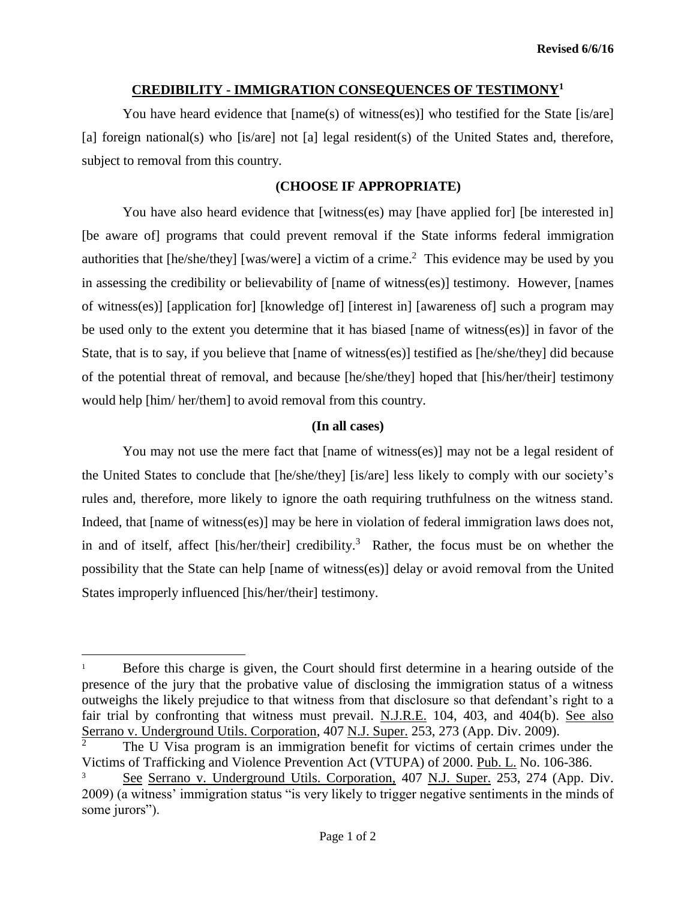## **CREDIBILITY - IMMIGRATION CONSEQUENCES OF TESTIMONY<sup>1</sup>**

You have heard evidence that  $[\text{name}(s)$  of witness(es)] who testified for the State  $[i\text{size}]$ [a] foreign national(s) who [is/are] not [a] legal resident(s) of the United States and, therefore, subject to removal from this country.

## **(CHOOSE IF APPROPRIATE)**

You have also heard evidence that [witness(es) may [have applied for] [be interested in] [be aware of] programs that could prevent removal if the State informs federal immigration authorities that  $[he/she/they]$  [was/were] a victim of a crime.<sup>2</sup> This evidence may be used by you in assessing the credibility or believability of [name of witness(es)] testimony. However, [names of witness(es)] [application for] [knowledge of] [interest in] [awareness of] such a program may be used only to the extent you determine that it has biased [name of witness(es)] in favor of the State, that is to say, if you believe that [name of witness(es)] testified as [he/she/they] did because of the potential threat of removal, and because [he/she/they] hoped that [his/her/their] testimony would help [him/ her/them] to avoid removal from this country.

## **(In all cases)**

You may not use the mere fact that [name of witness(es)] may not be a legal resident of the United States to conclude that [he/she/they] [is/are] less likely to comply with our society's rules and, therefore, more likely to ignore the oath requiring truthfulness on the witness stand. Indeed, that [name of witness(es)] may be here in violation of federal immigration laws does not, in and of itself, affect [his/her/their] credibility.<sup>3</sup> Rather, the focus must be on whether the possibility that the State can help [name of witness(es)] delay or avoid removal from the United States improperly influenced [his/her/their] testimony.

l

<sup>1</sup> Before this charge is given, the Court should first determine in a hearing outside of the presence of the jury that the probative value of disclosing the immigration status of a witness outweighs the likely prejudice to that witness from that disclosure so that defendant's right to a fair trial by confronting that witness must prevail. N.J.R.E. 104, 403, and 404(b). See also Serrano v. Underground Utils. Corporation,  $407$  N.J. Super. 253, 273 (App. Div. 2009).

The U Visa program is an immigration benefit for victims of certain crimes under the Victims of Trafficking and Violence Prevention Act (VTUPA) of 2000. Pub. L. No. 106-386.

See Serrano v. Underground Utils. Corporation, 407 N.J. Super. 253, 274 (App. Div. 2009) (a witness' immigration status "is very likely to trigger negative sentiments in the minds of some jurors").